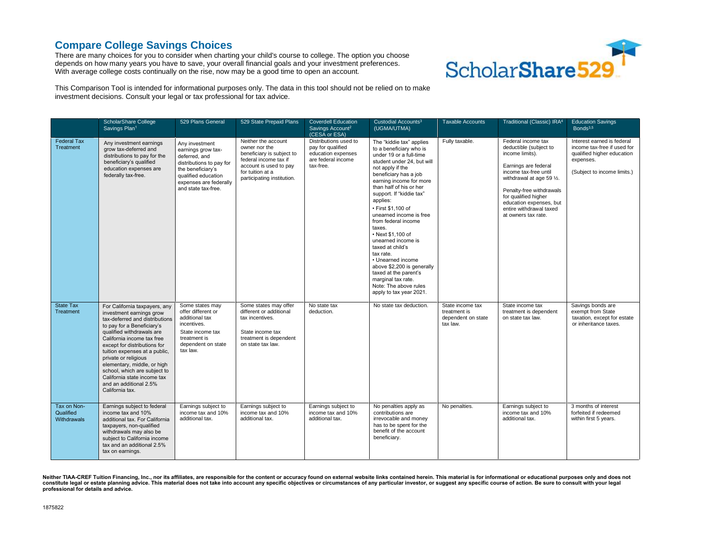There are many choices for you to consider when charting your child's course to college. The option you choose depends on how many years you have to save, your overall financial goals and your investment preferences. With average college costs continually on the rise, now may be a good time to open an account.



This Comparison Tool is intended for informational purposes only. The data in this tool should not be relied on to make investment decisions. Consult your legal or tax professional for tax advice.

|                                         | <b>ScholarShare College</b><br>Savings Plan <sup>1</sup>                                                                                                                                                                                                                                                                                                                                                                 | 529 Plans General                                                                                                                                                              | 529 State Prepaid Plans                                                                                                                                                | <b>Coverdell Education</b><br>Savings Account <sup>2</sup><br>(CESA or ESA)                         | Custodial Accounts <sup>3</sup><br>(UGMA/UTMA)                                                                                                                                                                                                                                                                                                                                                                                                                                                                                                                              | <b>Taxable Accounts</b>                                            | Traditional (Classic) IRA <sup>4</sup>                                                                                                                                                                                                                                         | <b>Education Savings</b><br>Bonds $3,5$                                                                                             |
|-----------------------------------------|--------------------------------------------------------------------------------------------------------------------------------------------------------------------------------------------------------------------------------------------------------------------------------------------------------------------------------------------------------------------------------------------------------------------------|--------------------------------------------------------------------------------------------------------------------------------------------------------------------------------|------------------------------------------------------------------------------------------------------------------------------------------------------------------------|-----------------------------------------------------------------------------------------------------|-----------------------------------------------------------------------------------------------------------------------------------------------------------------------------------------------------------------------------------------------------------------------------------------------------------------------------------------------------------------------------------------------------------------------------------------------------------------------------------------------------------------------------------------------------------------------------|--------------------------------------------------------------------|--------------------------------------------------------------------------------------------------------------------------------------------------------------------------------------------------------------------------------------------------------------------------------|-------------------------------------------------------------------------------------------------------------------------------------|
| <b>Federal Tax</b><br>Treatment         | Any investment earnings<br>grow tax-deferred and<br>distributions to pay for the<br>beneficiary's qualified<br>education expenses are<br>federally tax-free.                                                                                                                                                                                                                                                             | Any investment<br>earnings grow tax-<br>deferred, and<br>distributions to pay for<br>the beneficiary's<br>qualified education<br>expenses are federally<br>and state tax-free. | Neither the account<br>owner nor the<br>beneficiary is subject to<br>federal income tax if<br>account is used to pay<br>for tuition at a<br>participating institution. | Distributions used to<br>pay for qualified<br>education expenses<br>are federal income<br>tax-free. | The "kiddie tax" applies<br>to a beneficiary who is<br>under 19 or a full-time<br>student under 24, but will<br>not apply if the<br>beneficiary has a job<br>earning income for more<br>than half of his or her<br>support. If "kiddie tax"<br>applies:<br>· First \$1,100 of<br>unearned income is free<br>from federal income<br>taxes.<br>• Next \$1,100 of<br>unearned income is<br>taxed at child's<br>tax rate.<br>• Unearned income<br>above \$2,200 is generally<br>taxed at the parent's<br>marginal tax rate.<br>Note: The above rules<br>apply to tax year 2021. | Fully taxable.                                                     | Federal income tax<br>deductible (subject to<br>income limits).<br>Earnings are federal<br>income tax-free until<br>withdrawal at age 59 1/2.<br>Penalty-free withdrawals<br>for qualified higher<br>education expenses, but<br>entire withdrawal taxed<br>at owners tax rate. | Interest earned is federal<br>income tax-free if used for<br>qualified higher education<br>expenses.<br>(Subject to income limits.) |
| <b>State Tax</b><br>Treatment           | For California taxpayers, any<br>investment earnings grow<br>tax-deferred and distributions<br>to pay for a Beneficiary's<br>qualified withdrawals are<br>California income tax free<br>except for distributions for<br>tuition expenses at a public,<br>private or religious<br>elementary, middle, or high<br>school, which are subject to<br>California state income tax<br>and an additional 2.5%<br>California tax. | Some states may<br>offer different or<br>additional tax<br>incentives.<br>State income tax<br>treatment is<br>dependent on state<br>tax law.                                   | Some states may offer<br>different or additional<br>tax incentives.<br>State income tax<br>treatment is dependent<br>on state tax law.                                 | No state tax<br>deduction.                                                                          | No state tax deduction.                                                                                                                                                                                                                                                                                                                                                                                                                                                                                                                                                     | State income tax<br>treatment is<br>dependent on state<br>tax law. | State income tax<br>treatment is dependent<br>on state tax law.                                                                                                                                                                                                                | Savings bonds are<br>exempt from State<br>taxation, except for estate<br>or inheritance taxes.                                      |
| Tax on Non-<br>Qualified<br>Withdrawals | Earnings subject to federal<br>income tax and 10%<br>additional tax. For California<br>taxpayers, non-qualified<br>withdrawals may also be<br>subject to California income<br>tax and an additional 2.5%<br>tax on earnings.                                                                                                                                                                                             | Earnings subject to<br>income tax and 10%<br>additional tax.                                                                                                                   | Earnings subject to<br>income tax and 10%<br>additional tax.                                                                                                           | Earnings subject to<br>income tax and 10%<br>additional tax.                                        | No penalties apply as<br>contributions are<br>irrevocable and money<br>has to be spent for the<br>benefit of the account<br>beneficiary.                                                                                                                                                                                                                                                                                                                                                                                                                                    | No penalties.                                                      | Earnings subject to<br>income tax and 10%<br>additional tax.                                                                                                                                                                                                                   | 3 months of interest<br>forfeited if redeemed<br>within first 5 years.                                                              |

Neither TIAA-CREF Tuition Financing, Inc., nor its affiliates, are responsible for the content or accuracy found on external website links contained herein. This material is for informational or educational purposes only a constitute legal or estate planning advice. This material does not take into account any specific objectives or circumstances of any particular investor, or suggest any specific course of action. Be sure to consult with yo **professional for details and advice.**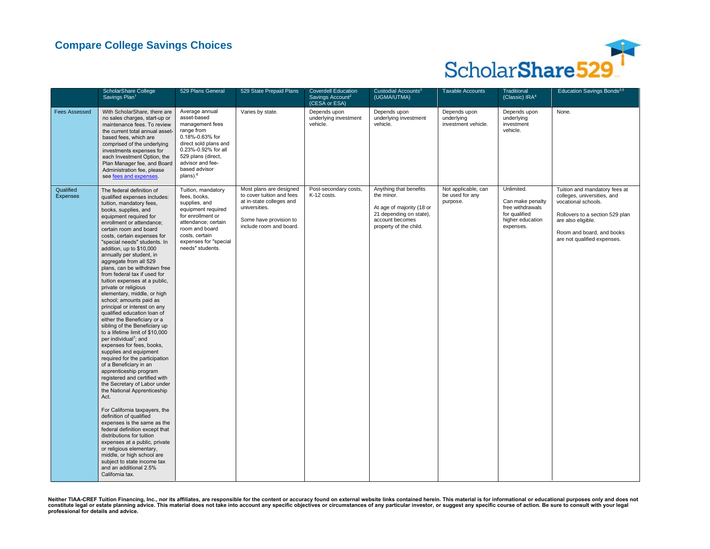

|                              | <b>ScholarShare College</b><br>Savings Plan <sup>1</sup>                                                                                                                                                                                                                                                                                                                                                                                                                                                                                                                                                                                                                                                                                                                                                                                                                                                                                                                                                                                                                                                                                                                                                                                                                                                                        | 529 Plans General                                                                                                                                                                                              | 529 State Prepaid Plans                                                                                                                                | <b>Coverdell Education</b><br>Savings Account <sup>2</sup><br>(CESA or ESA) | Custodial Accounts <sup>3</sup><br>(UGMA/UTMA)                                                                                            | <b>Taxable Accounts</b>                            | Traditional<br>(Classic) IRA <sup>4</sup>                                                            | <b>Education Savings Bonds</b> 3,5                                                                                                                                                                       |
|------------------------------|---------------------------------------------------------------------------------------------------------------------------------------------------------------------------------------------------------------------------------------------------------------------------------------------------------------------------------------------------------------------------------------------------------------------------------------------------------------------------------------------------------------------------------------------------------------------------------------------------------------------------------------------------------------------------------------------------------------------------------------------------------------------------------------------------------------------------------------------------------------------------------------------------------------------------------------------------------------------------------------------------------------------------------------------------------------------------------------------------------------------------------------------------------------------------------------------------------------------------------------------------------------------------------------------------------------------------------|----------------------------------------------------------------------------------------------------------------------------------------------------------------------------------------------------------------|--------------------------------------------------------------------------------------------------------------------------------------------------------|-----------------------------------------------------------------------------|-------------------------------------------------------------------------------------------------------------------------------------------|----------------------------------------------------|------------------------------------------------------------------------------------------------------|----------------------------------------------------------------------------------------------------------------------------------------------------------------------------------------------------------|
| <b>Fees Assessed</b>         | With ScholarShare, there are<br>no sales charges, start-up or<br>maintenance fees. To review<br>the current total annual asset-<br>based fees, which are<br>comprised of the underlying<br>investments expenses for<br>each Investment Option, the<br>Plan Manager fee, and Board<br>Administration fee, please<br>see fees and expenses.                                                                                                                                                                                                                                                                                                                                                                                                                                                                                                                                                                                                                                                                                                                                                                                                                                                                                                                                                                                       | Average annual<br>asset-based<br>management fees<br>range from<br>0.18%-0.63% for<br>direct sold plans and<br>0.23%-0.92% for all<br>529 plans (direct,<br>advisor and fee-<br>based advisor<br>$plans$ ). $6$ | Varies by state.                                                                                                                                       | Depends upon<br>underlying investment<br>vehicle.                           | Depends upon<br>underlying investment<br>vehicle.                                                                                         | Depends upon<br>underlying<br>investment vehicle.  | Depends upon<br>underlying<br>investment<br>vehicle.                                                 | None.                                                                                                                                                                                                    |
| Qualified<br><b>Expenses</b> | The federal definition of<br>qualified expenses includes:<br>tuition, mandatory fees,<br>books, supplies, and<br>equipment required for<br>enrollment or attendance;<br>certain room and board<br>costs, certain expenses for<br>"special needs" students. In<br>addition, up to \$10,000<br>annually per student, in<br>aggregate from all 529<br>plans, can be withdrawn free<br>from federal tax if used for<br>tuition expenses at a public,<br>private or religious<br>elementary, middle, or high<br>school; amounts paid as<br>principal or interest on any<br>qualified education loan of<br>either the Beneficiary or a<br>sibling of the Beneficiary up<br>to a lifetime limit of \$10,000<br>per individual <sup>7</sup> ; and<br>expenses for fees, books,<br>supplies and equipment<br>required for the participation<br>of a Beneficiary in an<br>apprenticeship program<br>registered and certified with<br>the Secretary of Labor under<br>the National Apprenticeship<br>Act.<br>For California taxpayers, the<br>definition of qualified<br>expenses is the same as the<br>federal definition except that<br>distributions for tuition<br>expenses at a public, private<br>or religious elementary,<br>middle, or high school are<br>subject to state income tax<br>and an additional 2.5%<br>California tax. | Tuition, mandatory<br>fees, books,<br>supplies, and<br>equipment required<br>for enrollment or<br>attendance; certain<br>room and board<br>costs, certain<br>expenses for "special<br>needs" students.         | Most plans are designed<br>to cover tuition and fees<br>at in-state colleges and<br>universities.<br>Some have provision to<br>include room and board. | Post-secondary costs,<br>K-12 costs.                                        | Anything that benefits<br>the minor.<br>At age of majority (18 or<br>21 depending on state),<br>account becomes<br>property of the child. | Not applicable, can<br>be used for any<br>purpose. | Unlimited.<br>Can make penalty<br>free withdrawals<br>for qualified<br>higher education<br>expenses. | Tuition and mandatory fees at<br>colleges, universities, and<br>vocational schools.<br>Rollovers to a section 529 plan<br>are also eligible.<br>Room and board, and books<br>are not qualified expenses. |

Neither TIAA-CREF Tuition Financing, Inc., nor its affiliates, are responsible for the content or accuracy found on external website links contained herein. This material is for informational or educational purposes only a **professional for details and advice.**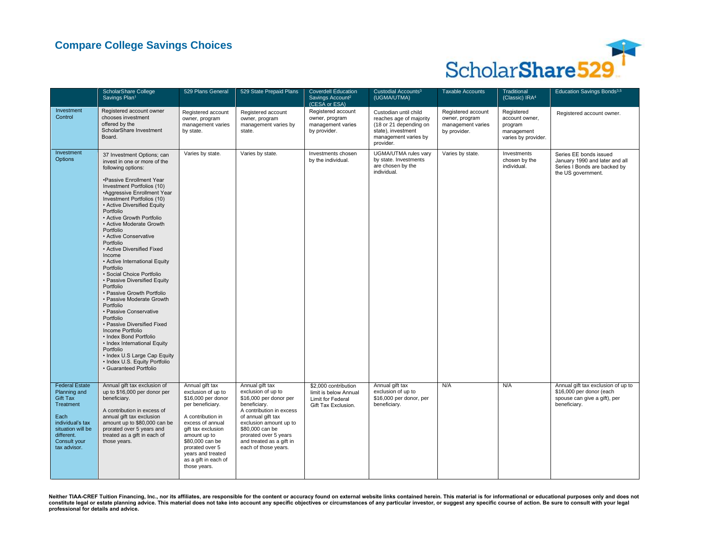

|                                                                                                                                                                      | <b>ScholarShare College</b><br>Savings Plan <sup>1</sup>                                                                                                                                                                                                                                                                                                                                                                                                                                                                                                                                                                                                                                                                                                                                                                                                            | 529 Plans General                                                                                                                                                                                                                                                 | 529 State Prepaid Plans                                                                                                                                                                                                                                     | <b>Coverdell Education</b><br>Savings Account <sup>2</sup><br>(CESA or ESA)               | Custodial Accounts <sup>3</sup><br>(UGMA/UTMA)                                                                                        | <b>Taxable Accounts</b>                                                   | <b>Traditional</b><br>(Classic) IRA <sup>4</sup>                             | Education Savings Bonds <sup>3,5</sup>                                                                         |
|----------------------------------------------------------------------------------------------------------------------------------------------------------------------|---------------------------------------------------------------------------------------------------------------------------------------------------------------------------------------------------------------------------------------------------------------------------------------------------------------------------------------------------------------------------------------------------------------------------------------------------------------------------------------------------------------------------------------------------------------------------------------------------------------------------------------------------------------------------------------------------------------------------------------------------------------------------------------------------------------------------------------------------------------------|-------------------------------------------------------------------------------------------------------------------------------------------------------------------------------------------------------------------------------------------------------------------|-------------------------------------------------------------------------------------------------------------------------------------------------------------------------------------------------------------------------------------------------------------|-------------------------------------------------------------------------------------------|---------------------------------------------------------------------------------------------------------------------------------------|---------------------------------------------------------------------------|------------------------------------------------------------------------------|----------------------------------------------------------------------------------------------------------------|
| Investment<br>Control                                                                                                                                                | Registered account owner<br>chooses investment<br>offered by the<br>ScholarShare Investment<br>Board.                                                                                                                                                                                                                                                                                                                                                                                                                                                                                                                                                                                                                                                                                                                                                               | Registered account<br>owner, program<br>management varies<br>by state.                                                                                                                                                                                            | Registered account<br>owner, program<br>management varies by<br>state.                                                                                                                                                                                      | Registered account<br>owner, program<br>management varies<br>by provider.                 | Custodian until child<br>reaches age of majority<br>(18 or 21 depending on<br>state), investment<br>management varies by<br>provider. | Registered account<br>owner, program<br>management varies<br>by provider. | Registered<br>account owner,<br>program<br>management<br>varies by provider. | Registered account owner.                                                                                      |
| Investment<br><b>Options</b>                                                                                                                                         | 37 Investment Options; can<br>invest in one or more of the<br>following options:<br>*Passive Enrollment Year<br>Investment Portfolios (10)<br>*Aggressive Enrollment Year<br>Investment Portfolios (10)<br>• Active Diversified Equity<br>Portfolio<br>• Active Growth Portfolio<br>• Active Moderate Growth<br>Portfolio<br>• Active Conservative<br>Portfolio<br>• Active Diversified Fixed<br>Income<br>• Active International Equity<br>Portfolio<br>· Social Choice Portfolio<br>• Passive Diversified Equity<br>Portfolio<br>• Passive Growth Portfolio<br>• Passive Moderate Growth<br>Portfolio<br>• Passive Conservative<br>Portfolio<br>· Passive Diversified Fixed<br>Income Portfolio<br>• Index Bond Portfolio<br>• Index International Equity<br>Portfolio<br>• Index U.S Large Cap Equity<br>• Index U.S. Equity Portfolio<br>· Guaranteed Portfolio | Varies by state.                                                                                                                                                                                                                                                  | Varies by state.                                                                                                                                                                                                                                            | Investments chosen<br>by the individual.                                                  | UGMA/UTMA rules vary<br>by state. Investments<br>are chosen by the<br>individual.                                                     | Varies by state.                                                          | Investments<br>chosen by the<br>individual.                                  | Series EE bonds issued<br>January 1990 and later and all<br>Series I Bonds are backed by<br>the US government. |
| <b>Federal Estate</b><br>Planning and<br><b>Gift Tax</b><br>Treatment<br>Each<br>individual's tax<br>situation will be<br>different.<br>Consult your<br>tax advisor. | Annual gift tax exclusion of<br>up to \$16,000 per donor per<br>beneficiary.<br>A contribution in excess of<br>annual gift tax exclusion<br>amount up to \$80,000 can be<br>prorated over 5 years and<br>treated as a gift in each of<br>those years.                                                                                                                                                                                                                                                                                                                                                                                                                                                                                                                                                                                                               | Annual gift tax<br>exclusion of up to<br>\$16,000 per donor<br>per beneficiary.<br>A contribution in<br>excess of annual<br>gift tax exclusion<br>amount up to<br>\$80,000 can be<br>prorated over 5<br>years and treated<br>as a gift in each of<br>those years. | Annual gift tax<br>exclusion of up to<br>\$16,000 per donor per<br>beneficiary.<br>A contribution in excess<br>of annual gift tax<br>exclusion amount up to<br>\$80,000 can be<br>prorated over 5 years<br>and treated as a gift in<br>each of those years. | \$2,000 contribution<br>limit is below Annual<br>Limit for Federal<br>Gift Tax Exclusion. | Annual gift tax<br>exclusion of up to<br>\$16,000 per donor, per<br>beneficiary.                                                      | N/A                                                                       | N/A                                                                          | Annual gift tax exclusion of up to<br>\$16,000 per donor (each<br>spouse can give a gift), per<br>beneficiary. |

Neither TIAA-CREF Tuition Financing, Inc., nor its affiliates, are responsible for the content or accuracy found on external website links contained herein. This material is for informational or educational purposes only a constitute legal or estate planning advice. This material does not take into account any specific objectives or circumstances of any particular investor, or suggest any specific course of action. Be sure to consult with yo **professional for details and advice.**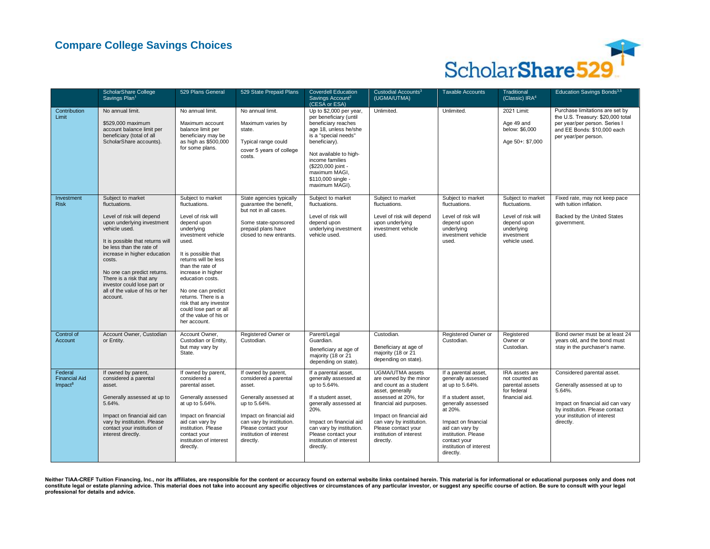

|                                                        | <b>ScholarShare College</b><br>Savings Plan <sup>1</sup>                                                                                                                                                                                                                                                                                                         | 529 Plans General                                                                                                                                                                                                                                                                                                                                                            | 529 State Prepaid Plans                                                                                                                                                                                               | <b>Coverdell Education</b><br>Savings Account <sup>2</sup><br>(CESA or ESA)                                                                                                                                                                                            | Custodial Accounts <sup>3</sup><br>(UGMA/UTMA)                                                                                                                                                                                                                    | <b>Taxable Accounts</b>                                                                                                                                                                                                                        | Traditional<br>(Classic) IRA <sup>4</sup>                                                                            | Education Savings Bonds <sup>3,5</sup>                                                                                                                                                 |
|--------------------------------------------------------|------------------------------------------------------------------------------------------------------------------------------------------------------------------------------------------------------------------------------------------------------------------------------------------------------------------------------------------------------------------|------------------------------------------------------------------------------------------------------------------------------------------------------------------------------------------------------------------------------------------------------------------------------------------------------------------------------------------------------------------------------|-----------------------------------------------------------------------------------------------------------------------------------------------------------------------------------------------------------------------|------------------------------------------------------------------------------------------------------------------------------------------------------------------------------------------------------------------------------------------------------------------------|-------------------------------------------------------------------------------------------------------------------------------------------------------------------------------------------------------------------------------------------------------------------|------------------------------------------------------------------------------------------------------------------------------------------------------------------------------------------------------------------------------------------------|----------------------------------------------------------------------------------------------------------------------|----------------------------------------------------------------------------------------------------------------------------------------------------------------------------------------|
| Contribution<br>Limit                                  | No annual limit.<br>\$529,000 maximum<br>account balance limit per<br>beneficiary (total of all<br>ScholarShare accounts).                                                                                                                                                                                                                                       | No annual limit.<br>Maximum account<br>balance limit per<br>beneficiary may be<br>as high as \$500,000<br>for some plans.                                                                                                                                                                                                                                                    | No annual limit.<br>Maximum varies by<br>state.<br>Typical range could<br>cover 5 years of college<br>costs.                                                                                                          | Up to \$2,000 per year,<br>per beneficiary (until<br>beneficiary reaches<br>age 18, unless he/she<br>is a "special needs"<br>beneficiary).<br>Not available to high-<br>income families<br>(\$220,000 joint -<br>maximum MAGI,<br>\$110,000 single -<br>maximum MAGI). | Unlimited.                                                                                                                                                                                                                                                        | Unlimited.                                                                                                                                                                                                                                     | 2021 Limit:<br>Age 49 and<br>below: \$6,000<br>Age 50+: \$7,000                                                      | Purchase limitations are set by<br>the U.S. Treasury: \$20,000 total<br>per year/per person. Series I<br>and EE Bonds: \$10,000 each<br>per year/per person.                           |
| Investment<br><b>Risk</b>                              | Subject to market<br>fluctuations.<br>Level of risk will depend<br>upon underlying investment<br>vehicle used.<br>It is possible that returns will<br>be less than the rate of<br>increase in higher education<br>costs.<br>No one can predict returns.<br>There is a risk that any<br>investor could lose part or<br>all of the value of his or her<br>account. | Subject to market<br>fluctuations.<br>Level of risk will<br>depend upon<br>underlying<br>investment vehicle<br>used.<br>It is possible that<br>returns will be less<br>than the rate of<br>increase in higher<br>education costs.<br>No one can predict<br>returns. There is a<br>risk that any investor<br>could lose part or all<br>of the value of his or<br>her account. | State agencies typically<br>quarantee the benefit,<br>but not in all cases.<br>Some state-sponsored<br>prepaid plans have<br>closed to new entrants.                                                                  | Subject to market<br>fluctuations.<br>Level of risk will<br>depend upon<br>underlying investment<br>vehicle used.                                                                                                                                                      | Subject to market<br>fluctuations.<br>Level of risk will depend<br>upon underlying<br>investment vehicle<br>used.                                                                                                                                                 | Subject to market<br>fluctuations.<br>Level of risk will<br>depend upon<br>underlying<br>investment vehicle<br>used.                                                                                                                           | Subject to market<br>fluctuations.<br>Level of risk will<br>depend upon<br>underlying<br>investment<br>vehicle used. | Fixed rate, may not keep pace<br>with tuition inflation.<br>Backed by the United States<br>government.                                                                                 |
| Control of<br>Account                                  | Account Owner, Custodian<br>or Entity.                                                                                                                                                                                                                                                                                                                           | Account Owner,<br>Custodian or Entity,<br>but may vary by<br>State.                                                                                                                                                                                                                                                                                                          | Registered Owner or<br>Custodian.                                                                                                                                                                                     | Parent/Legal<br>Guardian.<br>Beneficiary at age of<br>majority (18 or 21<br>depending on state).                                                                                                                                                                       | Custodian.<br>Beneficiary at age of<br>majority (18 or 21<br>depending on state).                                                                                                                                                                                 | Registered Owner or<br>Custodian.                                                                                                                                                                                                              | Registered<br>Owner or<br>Custodian.                                                                                 | Bond owner must be at least 24<br>years old, and the bond must<br>stay in the purchaser's name.                                                                                        |
| Federal<br><b>Financial Aid</b><br>Impact <sup>8</sup> | If owned by parent,<br>considered a parental<br>asset.<br>Generally assessed at up to<br>5.64%.<br>Impact on financial aid can<br>vary by institution. Please<br>contact your institution of<br>interest directly.                                                                                                                                               | If owned by parent,<br>considered a<br>parental asset.<br>Generally assessed<br>at up to 5.64%.<br>Impact on financial<br>aid can vary by<br>institution. Please<br>contact your<br>institution of interest<br>directly.                                                                                                                                                     | If owned by parent,<br>considered a parental<br>asset.<br>Generally assessed at<br>up to 5.64%.<br>Impact on financial aid<br>can vary by institution.<br>Please contact your<br>institution of interest<br>directly. | If a parental asset.<br>generally assessed at<br>up to 5.64%.<br>If a student asset,<br>generally assessed at<br>20%<br>Impact on financial aid<br>can vary by institution.<br>Please contact your<br>institution of interest<br>directly.                             | UGMA/UTMA assets<br>are owned by the minor<br>and count as a student<br>asset, generally<br>assessed at 20%, for<br>financial aid purposes.<br>Impact on financial aid<br>can vary by institution.<br>Please contact your<br>institution of interest<br>directly. | If a parental asset,<br>generally assessed<br>at up to 5.64%.<br>If a student asset,<br>generally assessed<br>at 20%.<br>Impact on financial<br>aid can vary by<br>institution. Please<br>contact your<br>institution of interest<br>directly. | IRA assets are<br>not counted as<br>parental assets<br>for federal<br>financial aid.                                 | Considered parental asset.<br>Generally assessed at up to<br>5.64%.<br>Impact on financial aid can vary<br>by institution. Please contact<br>your institution of interest<br>directly. |

Neither TIAA-CREF Tuition Financing, Inc., nor its affiliates, are responsible for the content or accuracy found on external website links contained herein. This material is for informational or educational purposes only a **professional for details and advice.**